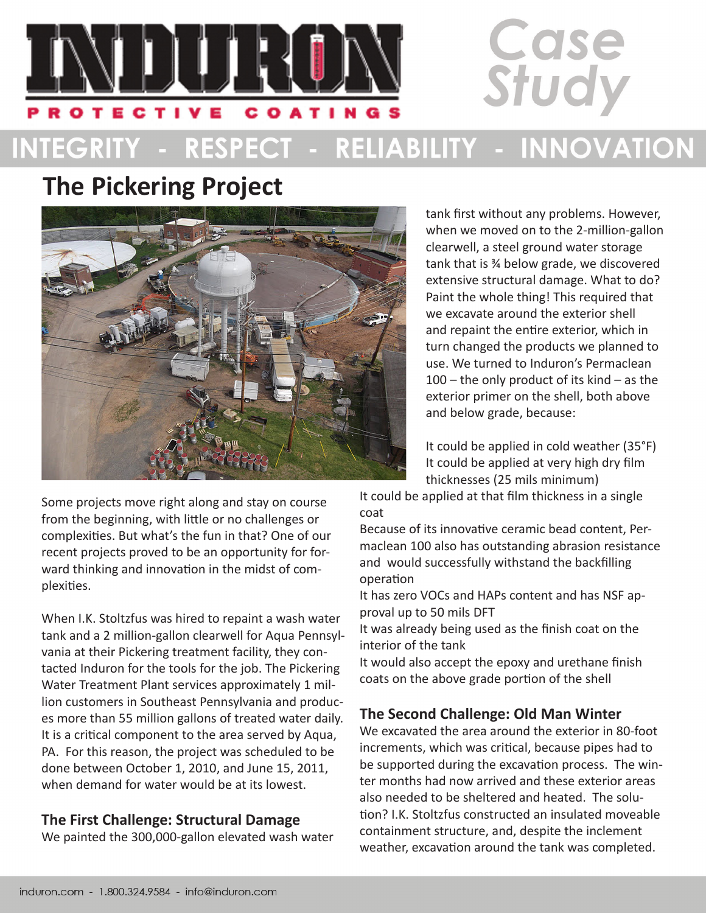

# INTEGRITY - RESPECT - RELIABILITY - INNOVATION

## **The Pickering Project**



tank first without any problems. However, when we moved on to the 2-million-gallon clearwell, a steel ground water storage tank that is ¾ below grade, we discovered extensive structural damage. What to do? Paint the whole thing! This required that we excavate around the exterior shell and repaint the entire exterior, which in turn changed the products we planned to use. We turned to Induron's Permaclean 100 – the only product of its kind – as the exterior primer on the shell, both above and below grade, because:

Case

Study

It could be applied in cold weather (35°F) It could be applied at very high dry film thicknesses (25 mils minimum)

It could be applied at that film thickness in a single coat

Because of its innovative ceramic bead content, Permaclean 100 also has outstanding abrasion resistance and would successfully withstand the backfilling operation

It has zero VOCs and HAPs content and has NSF approval up to 50 mils DFT

It was already being used as the finish coat on the interior of the tank

It would also accept the epoxy and urethane finish coats on the above grade portion of the shell

#### **The Second Challenge: Old Man Winter**

We excavated the area around the exterior in 80-foot increments, which was critical, because pipes had to be supported during the excavation process. The winter months had now arrived and these exterior areas also needed to be sheltered and heated. The solution? I.K. Stoltzfus constructed an insulated moveable containment structure, and, despite the inclement weather, excavation around the tank was completed.

Some projects move right along and stay on course from the beginning, with little or no challenges or complexities. But what's the fun in that? One of our recent projects proved to be an opportunity for forward thinking and innovation in the midst of complexities.

When I.K. Stoltzfus was hired to repaint a wash water tank and a 2 million-gallon clearwell for Aqua Pennsylvania at their Pickering treatment facility, they contacted Induron for the tools for the job. The Pickering Water Treatment Plant services approximately 1 million customers in Southeast Pennsylvania and produces more than 55 million gallons of treated water daily. It is a critical component to the area served by Aqua, PA. For this reason, the project was scheduled to be done between October 1, 2010, and June 15, 2011, when demand for water would be at its lowest.

### **The First Challenge: Structural Damage**

We painted the 300,000-gallon elevated wash water